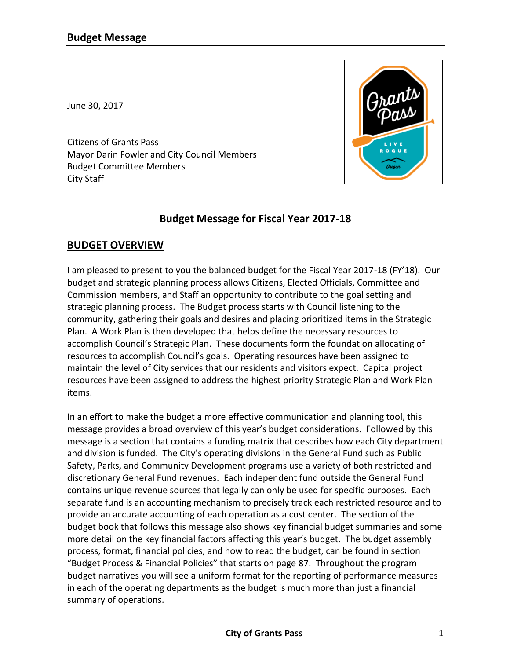June 30, 2017

Citizens of Grants Pass Mayor Darin Fowler and City Council Members Budget Committee Members City Staff

# **Budget Message for Fiscal Year 2017-18**

# **BUDGET OVERVIEW**

I am pleased to present to you the balanced budget for the Fiscal Year 2017-18 (FY'18). Our budget and strategic planning process allows Citizens, Elected Officials, Committee and Commission members, and Staff an opportunity to contribute to the goal setting and strategic planning process. The Budget process starts with Council listening to the community, gathering their goals and desires and placing prioritized items in the Strategic Plan. A Work Plan is then developed that helps define the necessary resources to accomplish Council's Strategic Plan. These documents form the foundation allocating of resources to accomplish Council's goals. Operating resources have been assigned to maintain the level of City services that our residents and visitors expect. Capital project resources have been assigned to address the highest priority Strategic Plan and Work Plan items.

In an effort to make the budget a more effective communication and planning tool, this message provides a broad overview of this year's budget considerations. Followed by this message is a section that contains a funding matrix that describes how each City department and division is funded. The City's operating divisions in the General Fund such as Public Safety, Parks, and Community Development programs use a variety of both restricted and discretionary General Fund revenues. Each independent fund outside the General Fund contains unique revenue sources that legally can only be used for specific purposes. Each separate fund is an accounting mechanism to precisely track each restricted resource and to provide an accurate accounting of each operation as a cost center. The section of the budget book that follows this message also shows key financial budget summaries and some more detail on the key financial factors affecting this year's budget. The budget assembly process, format, financial policies, and how to read the budget, can be found in section "Budget Process & Financial Policies" that starts on page 87. Throughout the program budget narratives you will see a uniform format for the reporting of performance measures in each of the operating departments as the budget is much more than just a financial summary of operations.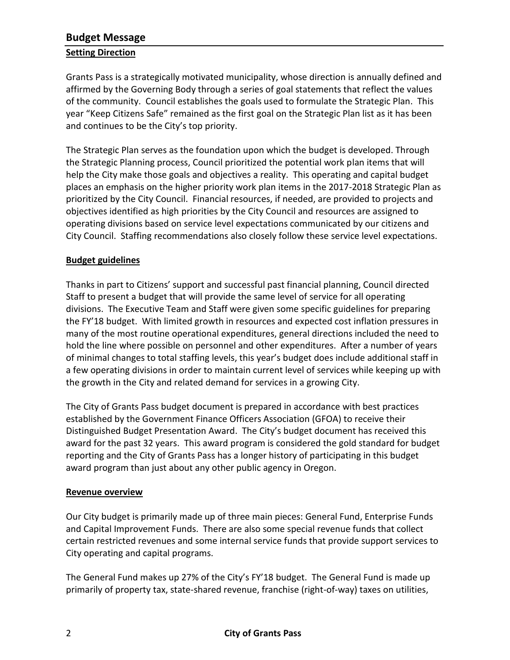## **Setting Direction**

Grants Pass is a strategically motivated municipality, whose direction is annually defined and affirmed by the Governing Body through a series of goal statements that reflect the values of the community. Council establishes the goals used to formulate the Strategic Plan. This year "Keep Citizens Safe" remained as the first goal on the Strategic Plan list as it has been and continues to be the City's top priority.

The Strategic Plan serves as the foundation upon which the budget is developed. Through the Strategic Planning process, Council prioritized the potential work plan items that will help the City make those goals and objectives a reality. This operating and capital budget places an emphasis on the higher priority work plan items in the 2017-2018 Strategic Plan as prioritized by the City Council. Financial resources, if needed, are provided to projects and objectives identified as high priorities by the City Council and resources are assigned to operating divisions based on service level expectations communicated by our citizens and City Council. Staffing recommendations also closely follow these service level expectations.

## **Budget guidelines**

Thanks in part to Citizens' support and successful past financial planning, Council directed Staff to present a budget that will provide the same level of service for all operating divisions. The Executive Team and Staff were given some specific guidelines for preparing the FY'18 budget. With limited growth in resources and expected cost inflation pressures in many of the most routine operational expenditures, general directions included the need to hold the line where possible on personnel and other expenditures. After a number of years of minimal changes to total staffing levels, this year's budget does include additional staff in a few operating divisions in order to maintain current level of services while keeping up with the growth in the City and related demand for services in a growing City.

The City of Grants Pass budget document is prepared in accordance with best practices established by the Government Finance Officers Association (GFOA) to receive their Distinguished Budget Presentation Award. The City's budget document has received this award for the past 32 years. This award program is considered the gold standard for budget reporting and the City of Grants Pass has a longer history of participating in this budget award program than just about any other public agency in Oregon.

## **Revenue overview**

Our City budget is primarily made up of three main pieces: General Fund, Enterprise Funds and Capital Improvement Funds. There are also some special revenue funds that collect certain restricted revenues and some internal service funds that provide support services to City operating and capital programs.

The General Fund makes up 27% of the City's FY'18 budget. The General Fund is made up primarily of property tax, state-shared revenue, franchise (right-of-way) taxes on utilities,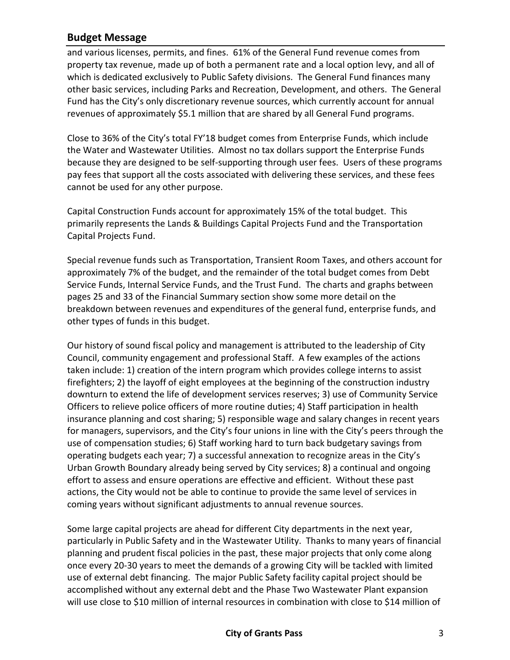and various licenses, permits, and fines. 61% of the General Fund revenue comes from property tax revenue, made up of both a permanent rate and a local option levy, and all of which is dedicated exclusively to Public Safety divisions. The General Fund finances many other basic services, including Parks and Recreation, Development, and others. The General Fund has the City's only discretionary revenue sources, which currently account for annual revenues of approximately \$5.1 million that are shared by all General Fund programs.

Close to 36% of the City's total FY'18 budget comes from Enterprise Funds, which include the Water and Wastewater Utilities. Almost no tax dollars support the Enterprise Funds because they are designed to be self-supporting through user fees. Users of these programs pay fees that support all the costs associated with delivering these services, and these fees cannot be used for any other purpose.

Capital Construction Funds account for approximately 15% of the total budget. This primarily represents the Lands & Buildings Capital Projects Fund and the Transportation Capital Projects Fund.

Special revenue funds such as Transportation, Transient Room Taxes, and others account for approximately 7% of the budget, and the remainder of the total budget comes from Debt Service Funds, Internal Service Funds, and the Trust Fund. The charts and graphs between pages 25 and 33 of the Financial Summary section show some more detail on the breakdown between revenues and expenditures of the general fund, enterprise funds, and other types of funds in this budget.

Our history of sound fiscal policy and management is attributed to the leadership of City Council, community engagement and professional Staff. A few examples of the actions taken include: 1) creation of the intern program which provides college interns to assist firefighters; 2) the layoff of eight employees at the beginning of the construction industry downturn to extend the life of development services reserves; 3) use of Community Service Officers to relieve police officers of more routine duties; 4) Staff participation in health insurance planning and cost sharing; 5) responsible wage and salary changes in recent years for managers, supervisors, and the City's four unions in line with the City's peers through the use of compensation studies; 6) Staff working hard to turn back budgetary savings from operating budgets each year; 7) a successful annexation to recognize areas in the City's Urban Growth Boundary already being served by City services; 8) a continual and ongoing effort to assess and ensure operations are effective and efficient. Without these past actions, the City would not be able to continue to provide the same level of services in coming years without significant adjustments to annual revenue sources.

Some large capital projects are ahead for different City departments in the next year, particularly in Public Safety and in the Wastewater Utility. Thanks to many years of financial planning and prudent fiscal policies in the past, these major projects that only come along once every 20-30 years to meet the demands of a growing City will be tackled with limited use of external debt financing. The major Public Safety facility capital project should be accomplished without any external debt and the Phase Two Wastewater Plant expansion will use close to \$10 million of internal resources in combination with close to \$14 million of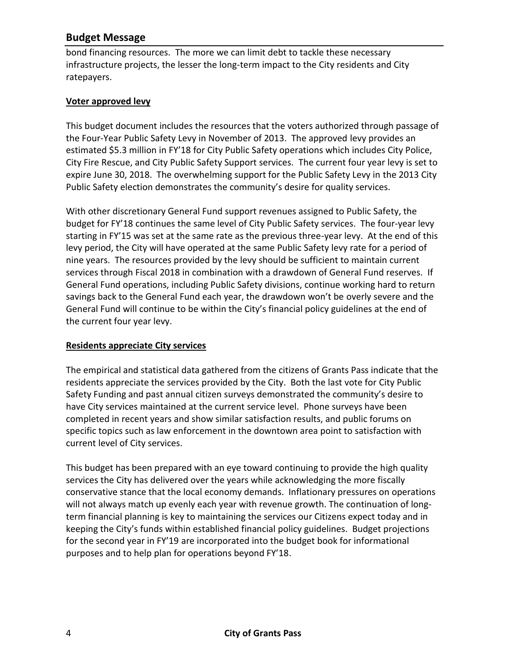bond financing resources. The more we can limit debt to tackle these necessary infrastructure projects, the lesser the long-term impact to the City residents and City ratepayers.

#### **Voter approved levy**

This budget document includes the resources that the voters authorized through passage of the Four-Year Public Safety Levy in November of 2013. The approved levy provides an estimated \$5.3 million in FY'18 for City Public Safety operations which includes City Police, City Fire Rescue, and City Public Safety Support services. The current four year levy is set to expire June 30, 2018. The overwhelming support for the Public Safety Levy in the 2013 City Public Safety election demonstrates the community's desire for quality services.

With other discretionary General Fund support revenues assigned to Public Safety, the budget for FY'18 continues the same level of City Public Safety services. The four-year levy starting in FY'15 was set at the same rate as the previous three-year levy. At the end of this levy period, the City will have operated at the same Public Safety levy rate for a period of nine years. The resources provided by the levy should be sufficient to maintain current services through Fiscal 2018 in combination with a drawdown of General Fund reserves. If General Fund operations, including Public Safety divisions, continue working hard to return savings back to the General Fund each year, the drawdown won't be overly severe and the General Fund will continue to be within the City's financial policy guidelines at the end of the current four year levy.

#### **Residents appreciate City services**

The empirical and statistical data gathered from the citizens of Grants Pass indicate that the residents appreciate the services provided by the City. Both the last vote for City Public Safety Funding and past annual citizen surveys demonstrated the community's desire to have City services maintained at the current service level. Phone surveys have been completed in recent years and show similar satisfaction results, and public forums on specific topics such as law enforcement in the downtown area point to satisfaction with current level of City services.

This budget has been prepared with an eye toward continuing to provide the high quality services the City has delivered over the years while acknowledging the more fiscally conservative stance that the local economy demands. Inflationary pressures on operations will not always match up evenly each year with revenue growth. The continuation of longterm financial planning is key to maintaining the services our Citizens expect today and in keeping the City's funds within established financial policy guidelines. Budget projections for the second year in FY'19 are incorporated into the budget book for informational purposes and to help plan for operations beyond FY'18.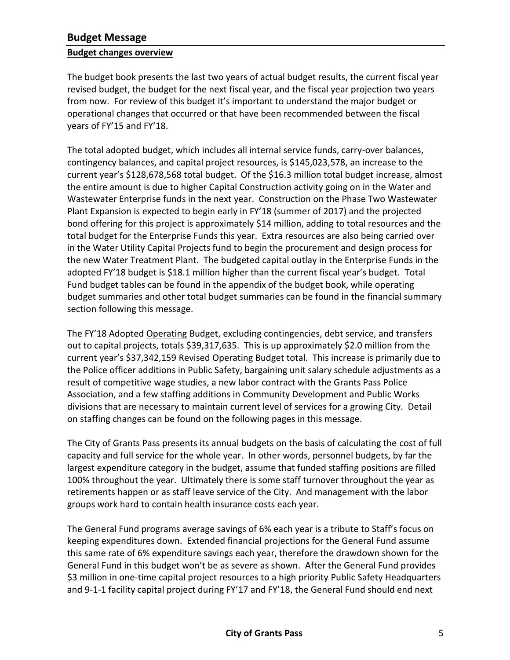#### **Budget changes overview**

The budget book presents the last two years of actual budget results, the current fiscal year revised budget, the budget for the next fiscal year, and the fiscal year projection two years from now. For review of this budget it's important to understand the major budget or operational changes that occurred or that have been recommended between the fiscal years of FY'15 and FY'18.

The total adopted budget, which includes all internal service funds, carry-over balances, contingency balances, and capital project resources, is \$145,023,578, an increase to the current year's \$128,678,568 total budget. Of the \$16.3 million total budget increase, almost the entire amount is due to higher Capital Construction activity going on in the Water and Wastewater Enterprise funds in the next year. Construction on the Phase Two Wastewater Plant Expansion is expected to begin early in FY'18 (summer of 2017) and the projected bond offering for this project is approximately \$14 million, adding to total resources and the total budget for the Enterprise Funds this year. Extra resources are also being carried over in the Water Utility Capital Projects fund to begin the procurement and design process for the new Water Treatment Plant. The budgeted capital outlay in the Enterprise Funds in the adopted FY'18 budget is \$18.1 million higher than the current fiscal year's budget. Total Fund budget tables can be found in the appendix of the budget book, while operating budget summaries and other total budget summaries can be found in the financial summary section following this message.

The FY'18 Adopted Operating Budget, excluding contingencies, debt service, and transfers out to capital projects, totals \$39,317,635. This is up approximately \$2.0 million from the current year's \$37,342,159 Revised Operating Budget total. This increase is primarily due to the Police officer additions in Public Safety, bargaining unit salary schedule adjustments as a result of competitive wage studies, a new labor contract with the Grants Pass Police Association, and a few staffing additions in Community Development and Public Works divisions that are necessary to maintain current level of services for a growing City. Detail on staffing changes can be found on the following pages in this message.

The City of Grants Pass presents its annual budgets on the basis of calculating the cost of full capacity and full service for the whole year. In other words, personnel budgets, by far the largest expenditure category in the budget, assume that funded staffing positions are filled 100% throughout the year. Ultimately there is some staff turnover throughout the year as retirements happen or as staff leave service of the City. And management with the labor groups work hard to contain health insurance costs each year.

The General Fund programs average savings of 6% each year is a tribute to Staff's focus on keeping expenditures down. Extended financial projections for the General Fund assume this same rate of 6% expenditure savings each year, therefore the drawdown shown for the General Fund in this budget won't be as severe as shown. After the General Fund provides \$3 million in one-time capital project resources to a high priority Public Safety Headquarters and 9-1-1 facility capital project during FY'17 and FY'18, the General Fund should end next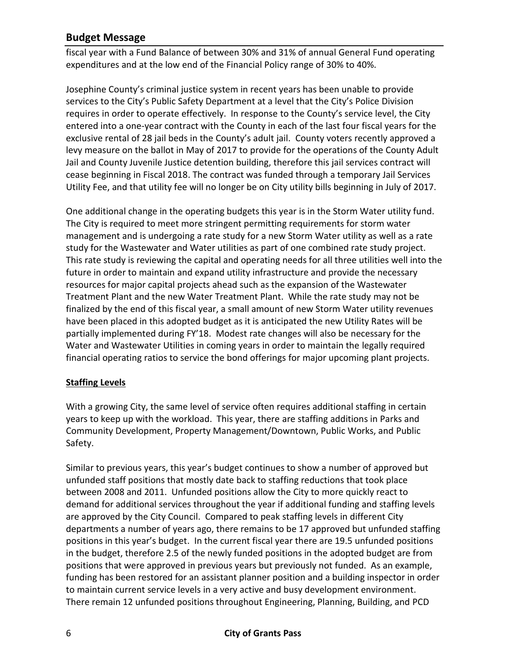fiscal year with a Fund Balance of between 30% and 31% of annual General Fund operating expenditures and at the low end of the Financial Policy range of 30% to 40%.

Josephine County's criminal justice system in recent years has been unable to provide services to the City's Public Safety Department at a level that the City's Police Division requires in order to operate effectively. In response to the County's service level, the City entered into a one-year contract with the County in each of the last four fiscal years for the exclusive rental of 28 jail beds in the County's adult jail. County voters recently approved a levy measure on the ballot in May of 2017 to provide for the operations of the County Adult Jail and County Juvenile Justice detention building, therefore this jail services contract will cease beginning in Fiscal 2018. The contract was funded through a temporary Jail Services Utility Fee, and that utility fee will no longer be on City utility bills beginning in July of 2017.

One additional change in the operating budgets this year is in the Storm Water utility fund. The City is required to meet more stringent permitting requirements for storm water management and is undergoing a rate study for a new Storm Water utility as well as a rate study for the Wastewater and Water utilities as part of one combined rate study project. This rate study is reviewing the capital and operating needs for all three utilities well into the future in order to maintain and expand utility infrastructure and provide the necessary resources for major capital projects ahead such as the expansion of the Wastewater Treatment Plant and the new Water Treatment Plant. While the rate study may not be finalized by the end of this fiscal year, a small amount of new Storm Water utility revenues have been placed in this adopted budget as it is anticipated the new Utility Rates will be partially implemented during FY'18. Modest rate changes will also be necessary for the Water and Wastewater Utilities in coming years in order to maintain the legally required financial operating ratios to service the bond offerings for major upcoming plant projects.

## **Staffing Levels**

With a growing City, the same level of service often requires additional staffing in certain years to keep up with the workload. This year, there are staffing additions in Parks and Community Development, Property Management/Downtown, Public Works, and Public Safety.

Similar to previous years, this year's budget continues to show a number of approved but unfunded staff positions that mostly date back to staffing reductions that took place between 2008 and 2011. Unfunded positions allow the City to more quickly react to demand for additional services throughout the year if additional funding and staffing levels are approved by the City Council. Compared to peak staffing levels in different City departments a number of years ago, there remains to be 17 approved but unfunded staffing positions in this year's budget. In the current fiscal year there are 19.5 unfunded positions in the budget, therefore 2.5 of the newly funded positions in the adopted budget are from positions that were approved in previous years but previously not funded. As an example, funding has been restored for an assistant planner position and a building inspector in order to maintain current service levels in a very active and busy development environment. There remain 12 unfunded positions throughout Engineering, Planning, Building, and PCD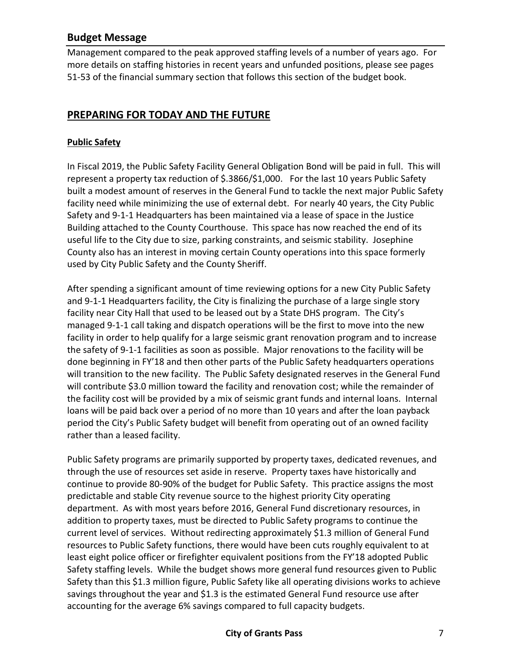Management compared to the peak approved staffing levels of a number of years ago. For more details on staffing histories in recent years and unfunded positions, please see pages 51-53 of the financial summary section that follows this section of the budget book.

# **PREPARING FOR TODAY AND THE FUTURE**

### **Public Safety**

In Fiscal 2019, the Public Safety Facility General Obligation Bond will be paid in full. This will represent a property tax reduction of \$.3866/\$1,000. For the last 10 years Public Safety built a modest amount of reserves in the General Fund to tackle the next major Public Safety facility need while minimizing the use of external debt. For nearly 40 years, the City Public Safety and 9-1-1 Headquarters has been maintained via a lease of space in the Justice Building attached to the County Courthouse. This space has now reached the end of its useful life to the City due to size, parking constraints, and seismic stability. Josephine County also has an interest in moving certain County operations into this space formerly used by City Public Safety and the County Sheriff.

After spending a significant amount of time reviewing options for a new City Public Safety and 9-1-1 Headquarters facility, the City is finalizing the purchase of a large single story facility near City Hall that used to be leased out by a State DHS program. The City's managed 9-1-1 call taking and dispatch operations will be the first to move into the new facility in order to help qualify for a large seismic grant renovation program and to increase the safety of 9-1-1 facilities as soon as possible. Major renovations to the facility will be done beginning in FY'18 and then other parts of the Public Safety headquarters operations will transition to the new facility. The Public Safety designated reserves in the General Fund will contribute \$3.0 million toward the facility and renovation cost; while the remainder of the facility cost will be provided by a mix of seismic grant funds and internal loans. Internal loans will be paid back over a period of no more than 10 years and after the loan payback period the City's Public Safety budget will benefit from operating out of an owned facility rather than a leased facility.

Public Safety programs are primarily supported by property taxes, dedicated revenues, and through the use of resources set aside in reserve. Property taxes have historically and continue to provide 80-90% of the budget for Public Safety. This practice assigns the most predictable and stable City revenue source to the highest priority City operating department. As with most years before 2016, General Fund discretionary resources, in addition to property taxes, must be directed to Public Safety programs to continue the current level of services. Without redirecting approximately \$1.3 million of General Fund resources to Public Safety functions, there would have been cuts roughly equivalent to at least eight police officer or firefighter equivalent positions from the FY'18 adopted Public Safety staffing levels. While the budget shows more general fund resources given to Public Safety than this \$1.3 million figure, Public Safety like all operating divisions works to achieve savings throughout the year and \$1.3 is the estimated General Fund resource use after accounting for the average 6% savings compared to full capacity budgets.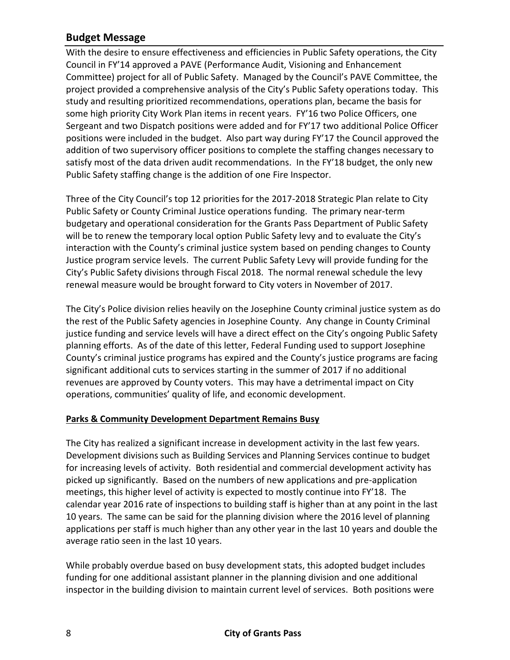With the desire to ensure effectiveness and efficiencies in Public Safety operations, the City Council in FY'14 approved a PAVE (Performance Audit, Visioning and Enhancement Committee) project for all of Public Safety. Managed by the Council's PAVE Committee, the project provided a comprehensive analysis of the City's Public Safety operations today. This study and resulting prioritized recommendations, operations plan, became the basis for some high priority City Work Plan items in recent years. FY'16 two Police Officers, one Sergeant and two Dispatch positions were added and for FY'17 two additional Police Officer positions were included in the budget. Also part way during FY'17 the Council approved the addition of two supervisory officer positions to complete the staffing changes necessary to satisfy most of the data driven audit recommendations. In the FY'18 budget, the only new Public Safety staffing change is the addition of one Fire Inspector.

Three of the City Council's top 12 priorities for the 2017-2018 Strategic Plan relate to City Public Safety or County Criminal Justice operations funding. The primary near-term budgetary and operational consideration for the Grants Pass Department of Public Safety will be to renew the temporary local option Public Safety levy and to evaluate the City's interaction with the County's criminal justice system based on pending changes to County Justice program service levels. The current Public Safety Levy will provide funding for the City's Public Safety divisions through Fiscal 2018. The normal renewal schedule the levy renewal measure would be brought forward to City voters in November of 2017.

The City's Police division relies heavily on the Josephine County criminal justice system as do the rest of the Public Safety agencies in Josephine County. Any change in County Criminal justice funding and service levels will have a direct effect on the City's ongoing Public Safety planning efforts. As of the date of this letter, Federal Funding used to support Josephine County's criminal justice programs has expired and the County's justice programs are facing significant additional cuts to services starting in the summer of 2017 if no additional revenues are approved by County voters. This may have a detrimental impact on City operations, communities' quality of life, and economic development.

## **Parks & Community Development Department Remains Busy**

The City has realized a significant increase in development activity in the last few years. Development divisions such as Building Services and Planning Services continue to budget for increasing levels of activity. Both residential and commercial development activity has picked up significantly. Based on the numbers of new applications and pre-application meetings, this higher level of activity is expected to mostly continue into FY'18. The calendar year 2016 rate of inspections to building staff is higher than at any point in the last 10 years. The same can be said for the planning division where the 2016 level of planning applications per staff is much higher than any other year in the last 10 years and double the average ratio seen in the last 10 years.

While probably overdue based on busy development stats, this adopted budget includes funding for one additional assistant planner in the planning division and one additional inspector in the building division to maintain current level of services. Both positions were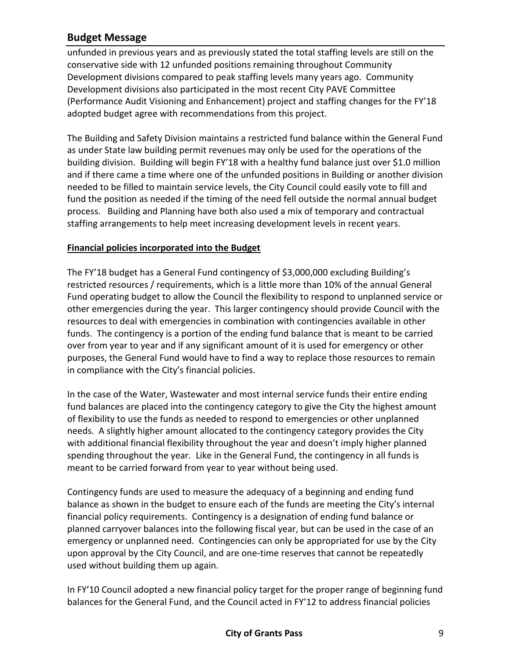unfunded in previous years and as previously stated the total staffing levels are still on the conservative side with 12 unfunded positions remaining throughout Community Development divisions compared to peak staffing levels many years ago. Community Development divisions also participated in the most recent City PAVE Committee (Performance Audit Visioning and Enhancement) project and staffing changes for the FY'18 adopted budget agree with recommendations from this project.

The Building and Safety Division maintains a restricted fund balance within the General Fund as under State law building permit revenues may only be used for the operations of the building division. Building will begin FY'18 with a healthy fund balance just over \$1.0 million and if there came a time where one of the unfunded positions in Building or another division needed to be filled to maintain service levels, the City Council could easily vote to fill and fund the position as needed if the timing of the need fell outside the normal annual budget process. Building and Planning have both also used a mix of temporary and contractual staffing arrangements to help meet increasing development levels in recent years.

### **Financial policies incorporated into the Budget**

The FY'18 budget has a General Fund contingency of \$3,000,000 excluding Building's restricted resources / requirements, which is a little more than 10% of the annual General Fund operating budget to allow the Council the flexibility to respond to unplanned service or other emergencies during the year. This larger contingency should provide Council with the resources to deal with emergencies in combination with contingencies available in other funds. The contingency is a portion of the ending fund balance that is meant to be carried over from year to year and if any significant amount of it is used for emergency or other purposes, the General Fund would have to find a way to replace those resources to remain in compliance with the City's financial policies.

In the case of the Water, Wastewater and most internal service funds their entire ending fund balances are placed into the contingency category to give the City the highest amount of flexibility to use the funds as needed to respond to emergencies or other unplanned needs. A slightly higher amount allocated to the contingency category provides the City with additional financial flexibility throughout the year and doesn't imply higher planned spending throughout the year. Like in the General Fund, the contingency in all funds is meant to be carried forward from year to year without being used.

Contingency funds are used to measure the adequacy of a beginning and ending fund balance as shown in the budget to ensure each of the funds are meeting the City's internal financial policy requirements. Contingency is a designation of ending fund balance or planned carryover balances into the following fiscal year, but can be used in the case of an emergency or unplanned need. Contingencies can only be appropriated for use by the City upon approval by the City Council, and are one-time reserves that cannot be repeatedly used without building them up again.

In FY'10 Council adopted a new financial policy target for the proper range of beginning fund balances for the General Fund, and the Council acted in FY'12 to address financial policies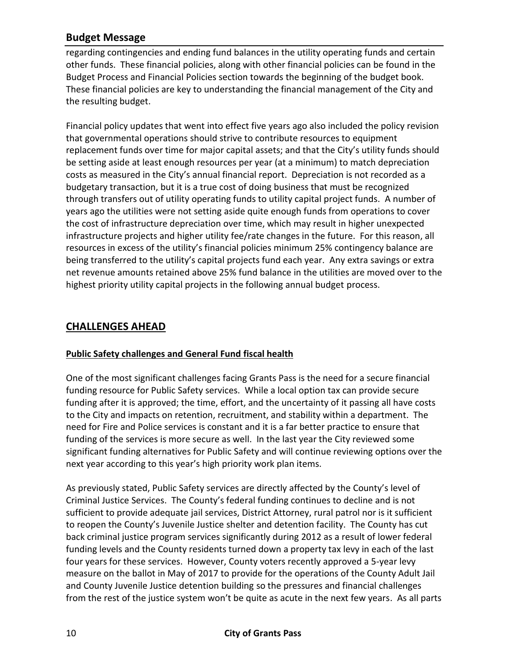regarding contingencies and ending fund balances in the utility operating funds and certain other funds. These financial policies, along with other financial policies can be found in the Budget Process and Financial Policies section towards the beginning of the budget book. These financial policies are key to understanding the financial management of the City and the resulting budget.

Financial policy updates that went into effect five years ago also included the policy revision that governmental operations should strive to contribute resources to equipment replacement funds over time for major capital assets; and that the City's utility funds should be setting aside at least enough resources per year (at a minimum) to match depreciation costs as measured in the City's annual financial report. Depreciation is not recorded as a budgetary transaction, but it is a true cost of doing business that must be recognized through transfers out of utility operating funds to utility capital project funds. A number of years ago the utilities were not setting aside quite enough funds from operations to cover the cost of infrastructure depreciation over time, which may result in higher unexpected infrastructure projects and higher utility fee/rate changes in the future. For this reason, all resources in excess of the utility's financial policies minimum 25% contingency balance are being transferred to the utility's capital projects fund each year. Any extra savings or extra net revenue amounts retained above 25% fund balance in the utilities are moved over to the highest priority utility capital projects in the following annual budget process.

# **CHALLENGES AHEAD**

## **Public Safety challenges and General Fund fiscal health**

One of the most significant challenges facing Grants Pass is the need for a secure financial funding resource for Public Safety services. While a local option tax can provide secure funding after it is approved; the time, effort, and the uncertainty of it passing all have costs to the City and impacts on retention, recruitment, and stability within a department. The need for Fire and Police services is constant and it is a far better practice to ensure that funding of the services is more secure as well. In the last year the City reviewed some significant funding alternatives for Public Safety and will continue reviewing options over the next year according to this year's high priority work plan items.

As previously stated, Public Safety services are directly affected by the County's level of Criminal Justice Services. The County's federal funding continues to decline and is not sufficient to provide adequate jail services, District Attorney, rural patrol nor is it sufficient to reopen the County's Juvenile Justice shelter and detention facility. The County has cut back criminal justice program services significantly during 2012 as a result of lower federal funding levels and the County residents turned down a property tax levy in each of the last four years for these services. However, County voters recently approved a 5-year levy measure on the ballot in May of 2017 to provide for the operations of the County Adult Jail and County Juvenile Justice detention building so the pressures and financial challenges from the rest of the justice system won't be quite as acute in the next few years. As all parts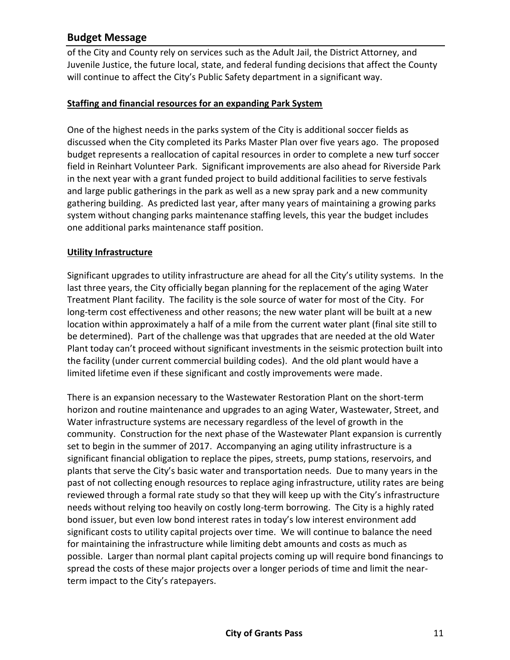of the City and County rely on services such as the Adult Jail, the District Attorney, and Juvenile Justice, the future local, state, and federal funding decisions that affect the County will continue to affect the City's Public Safety department in a significant way.

### **Staffing and financial resources for an expanding Park System**

One of the highest needs in the parks system of the City is additional soccer fields as discussed when the City completed its Parks Master Plan over five years ago. The proposed budget represents a reallocation of capital resources in order to complete a new turf soccer field in Reinhart Volunteer Park. Significant improvements are also ahead for Riverside Park in the next year with a grant funded project to build additional facilities to serve festivals and large public gatherings in the park as well as a new spray park and a new community gathering building. As predicted last year, after many years of maintaining a growing parks system without changing parks maintenance staffing levels, this year the budget includes one additional parks maintenance staff position.

### **Utility Infrastructure**

Significant upgrades to utility infrastructure are ahead for all the City's utility systems. In the last three years, the City officially began planning for the replacement of the aging Water Treatment Plant facility. The facility is the sole source of water for most of the City. For long-term cost effectiveness and other reasons; the new water plant will be built at a new location within approximately a half of a mile from the current water plant (final site still to be determined). Part of the challenge was that upgrades that are needed at the old Water Plant today can't proceed without significant investments in the seismic protection built into the facility (under current commercial building codes). And the old plant would have a limited lifetime even if these significant and costly improvements were made.

There is an expansion necessary to the Wastewater Restoration Plant on the short-term horizon and routine maintenance and upgrades to an aging Water, Wastewater, Street, and Water infrastructure systems are necessary regardless of the level of growth in the community. Construction for the next phase of the Wastewater Plant expansion is currently set to begin in the summer of 2017. Accompanying an aging utility infrastructure is a significant financial obligation to replace the pipes, streets, pump stations, reservoirs, and plants that serve the City's basic water and transportation needs. Due to many years in the past of not collecting enough resources to replace aging infrastructure, utility rates are being reviewed through a formal rate study so that they will keep up with the City's infrastructure needs without relying too heavily on costly long-term borrowing. The City is a highly rated bond issuer, but even low bond interest rates in today's low interest environment add significant costs to utility capital projects over time. We will continue to balance the need for maintaining the infrastructure while limiting debt amounts and costs as much as possible. Larger than normal plant capital projects coming up will require bond financings to spread the costs of these major projects over a longer periods of time and limit the nearterm impact to the City's ratepayers.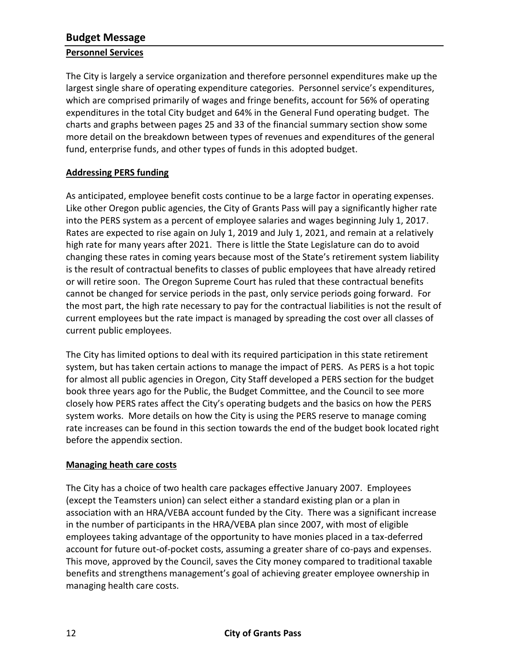### **Personnel Services**

The City is largely a service organization and therefore personnel expenditures make up the largest single share of operating expenditure categories. Personnel service's expenditures, which are comprised primarily of wages and fringe benefits, account for 56% of operating expenditures in the total City budget and 64% in the General Fund operating budget. The charts and graphs between pages 25 and 33 of the financial summary section show some more detail on the breakdown between types of revenues and expenditures of the general fund, enterprise funds, and other types of funds in this adopted budget.

## **Addressing PERS funding**

As anticipated, employee benefit costs continue to be a large factor in operating expenses. Like other Oregon public agencies, the City of Grants Pass will pay a significantly higher rate into the PERS system as a percent of employee salaries and wages beginning July 1, 2017. Rates are expected to rise again on July 1, 2019 and July 1, 2021, and remain at a relatively high rate for many years after 2021. There is little the State Legislature can do to avoid changing these rates in coming years because most of the State's retirement system liability is the result of contractual benefits to classes of public employees that have already retired or will retire soon. The Oregon Supreme Court has ruled that these contractual benefits cannot be changed for service periods in the past, only service periods going forward. For the most part, the high rate necessary to pay for the contractual liabilities is not the result of current employees but the rate impact is managed by spreading the cost over all classes of current public employees.

The City has limited options to deal with its required participation in this state retirement system, but has taken certain actions to manage the impact of PERS. As PERS is a hot topic for almost all public agencies in Oregon, City Staff developed a PERS section for the budget book three years ago for the Public, the Budget Committee, and the Council to see more closely how PERS rates affect the City's operating budgets and the basics on how the PERS system works. More details on how the City is using the PERS reserve to manage coming rate increases can be found in this section towards the end of the budget book located right before the appendix section.

## **Managing heath care costs**

The City has a choice of two health care packages effective January 2007. Employees (except the Teamsters union) can select either a standard existing plan or a plan in association with an HRA/VEBA account funded by the City. There was a significant increase in the number of participants in the HRA/VEBA plan since 2007, with most of eligible employees taking advantage of the opportunity to have monies placed in a tax-deferred account for future out-of-pocket costs, assuming a greater share of co-pays and expenses. This move, approved by the Council, saves the City money compared to traditional taxable benefits and strengthens management's goal of achieving greater employee ownership in managing health care costs.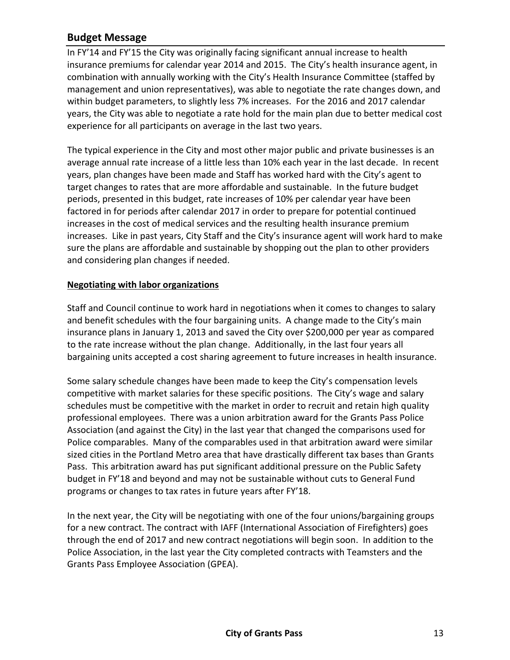In FY'14 and FY'15 the City was originally facing significant annual increase to health insurance premiums for calendar year 2014 and 2015. The City's health insurance agent, in combination with annually working with the City's Health Insurance Committee (staffed by management and union representatives), was able to negotiate the rate changes down, and within budget parameters, to slightly less 7% increases. For the 2016 and 2017 calendar years, the City was able to negotiate a rate hold for the main plan due to better medical cost experience for all participants on average in the last two years.

The typical experience in the City and most other major public and private businesses is an average annual rate increase of a little less than 10% each year in the last decade. In recent years, plan changes have been made and Staff has worked hard with the City's agent to target changes to rates that are more affordable and sustainable. In the future budget periods, presented in this budget, rate increases of 10% per calendar year have been factored in for periods after calendar 2017 in order to prepare for potential continued increases in the cost of medical services and the resulting health insurance premium increases. Like in past years, City Staff and the City's insurance agent will work hard to make sure the plans are affordable and sustainable by shopping out the plan to other providers and considering plan changes if needed.

### **Negotiating with labor organizations**

Staff and Council continue to work hard in negotiations when it comes to changes to salary and benefit schedules with the four bargaining units. A change made to the City's main insurance plans in January 1, 2013 and saved the City over \$200,000 per year as compared to the rate increase without the plan change. Additionally, in the last four years all bargaining units accepted a cost sharing agreement to future increases in health insurance.

Some salary schedule changes have been made to keep the City's compensation levels competitive with market salaries for these specific positions. The City's wage and salary schedules must be competitive with the market in order to recruit and retain high quality professional employees. There was a union arbitration award for the Grants Pass Police Association (and against the City) in the last year that changed the comparisons used for Police comparables. Many of the comparables used in that arbitration award were similar sized cities in the Portland Metro area that have drastically different tax bases than Grants Pass. This arbitration award has put significant additional pressure on the Public Safety budget in FY'18 and beyond and may not be sustainable without cuts to General Fund programs or changes to tax rates in future years after FY'18.

In the next year, the City will be negotiating with one of the four unions/bargaining groups for a new contract. The contract with IAFF (International Association of Firefighters) goes through the end of 2017 and new contract negotiations will begin soon. In addition to the Police Association, in the last year the City completed contracts with Teamsters and the Grants Pass Employee Association (GPEA).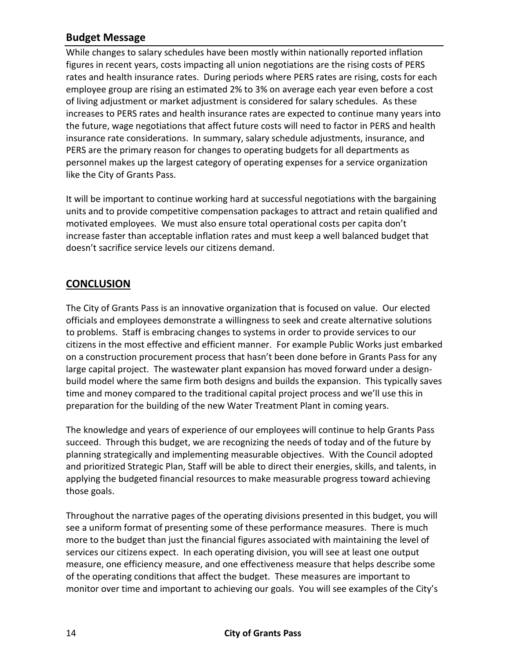While changes to salary schedules have been mostly within nationally reported inflation figures in recent years, costs impacting all union negotiations are the rising costs of PERS rates and health insurance rates. During periods where PERS rates are rising, costs for each employee group are rising an estimated 2% to 3% on average each year even before a cost of living adjustment or market adjustment is considered for salary schedules. As these increases to PERS rates and health insurance rates are expected to continue many years into the future, wage negotiations that affect future costs will need to factor in PERS and health insurance rate considerations. In summary, salary schedule adjustments, insurance, and PERS are the primary reason for changes to operating budgets for all departments as personnel makes up the largest category of operating expenses for a service organization like the City of Grants Pass.

It will be important to continue working hard at successful negotiations with the bargaining units and to provide competitive compensation packages to attract and retain qualified and motivated employees. We must also ensure total operational costs per capita don't increase faster than acceptable inflation rates and must keep a well balanced budget that doesn't sacrifice service levels our citizens demand.

# **CONCLUSION**

The City of Grants Pass is an innovative organization that is focused on value. Our elected officials and employees demonstrate a willingness to seek and create alternative solutions to problems. Staff is embracing changes to systems in order to provide services to our citizens in the most effective and efficient manner. For example Public Works just embarked on a construction procurement process that hasn't been done before in Grants Pass for any large capital project. The wastewater plant expansion has moved forward under a designbuild model where the same firm both designs and builds the expansion. This typically saves time and money compared to the traditional capital project process and we'll use this in preparation for the building of the new Water Treatment Plant in coming years.

The knowledge and years of experience of our employees will continue to help Grants Pass succeed. Through this budget, we are recognizing the needs of today and of the future by planning strategically and implementing measurable objectives. With the Council adopted and prioritized Strategic Plan, Staff will be able to direct their energies, skills, and talents, in applying the budgeted financial resources to make measurable progress toward achieving those goals.

Throughout the narrative pages of the operating divisions presented in this budget, you will see a uniform format of presenting some of these performance measures. There is much more to the budget than just the financial figures associated with maintaining the level of services our citizens expect. In each operating division, you will see at least one output measure, one efficiency measure, and one effectiveness measure that helps describe some of the operating conditions that affect the budget. These measures are important to monitor over time and important to achieving our goals. You will see examples of the City's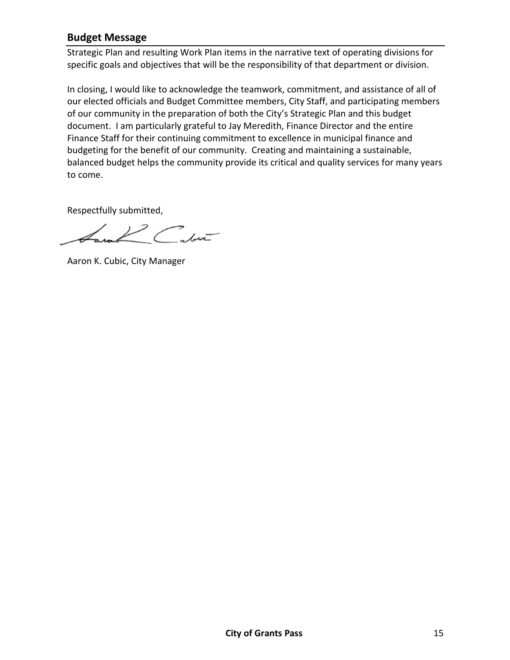Strategic Plan and resulting Work Plan items in the narrative text of operating divisions for specific goals and objectives that will be the responsibility of that department or division.

In closing, I would like to acknowledge the teamwork, commitment, and assistance of all of our elected officials and Budget Committee members, City Staff, and participating members of our community in the preparation of both the City's Strategic Plan and this budget document. I am particularly grateful to Jay Meredith, Finance Director and the entire Finance Staff for their continuing commitment to excellence in municipal finance and budgeting for the benefit of our community. Creating and maintaining a sustainable, balanced budget helps the community provide its critical and quality services for many years to come.

Respectfully submitted,

 $\mathscr{L}$  and  $\mathscr{L}$ 

Aaron K. Cubic, City Manager